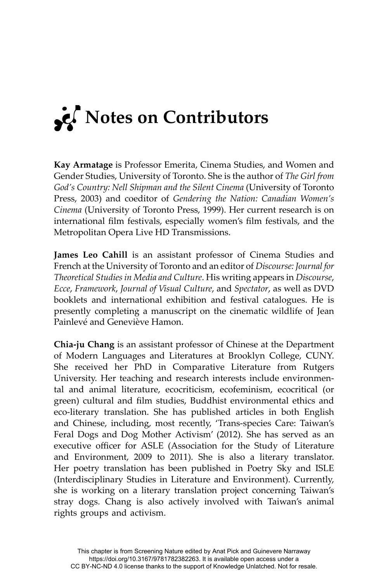

**Kay Armatage** is Professor Emerita, Cinema Studies, and Women and Gender Studies, University of Toronto. She is the author of *The Girl from God's Country: Nell Shipman and the Silent Cinema* (University of Toronto Press, 2003) and coeditor of *Gendering the Nation: Canadian Women's Cinema* (University of Toronto Press, 1999). Her current research is on international film festivals, especially women's film festivals, and the Metropolitan Opera Live HD Transmissions.

**James Leo Cahill** is an assistant professor of Cinema Studies and French at the University of Toronto and an editor of *Discourse: Journal for Theoretical Studies in Media and Culture*. His writing appears in *Discourse*, *Ecce*, *Framework*, *Journal of Visual Culture*, and *Spectator*, as well as DVD booklets and international exhibition and festival catalogues. He is presently completing a manuscript on the cinematic wildlife of Jean Painlevé and Geneviève Hamon.

**Chia-ju Chang** is an assistant professor of Chinese at the Department of Modern Languages and Literatures at Brooklyn College, CUNY. She received her PhD in Comparative Literature from Rutgers University. Her teaching and research interests include environmental and animal literature, ecocriticism, ecofeminism, ecocritical (or green) cultural and film studies, Buddhist environmental ethics and eco-literary translation. She has published articles in both English and Chinese, including, most recently, 'Trans-species Care: Taiwan's Feral Dogs and Dog Mother Activism' (2012). She has served as an executive officer for ASLE (Association for the Study of Literature and Environment, 2009 to 2011). She is also a literary translator. Her poetry translation has been published in Poetry Sky and ISLE (Interdisciplinary Studies in Literature and Environment). Currently, she is working on a literary translation project concerning Taiwan's stray dogs. Chang is also actively involved with Taiwan's animal rights groups and activism.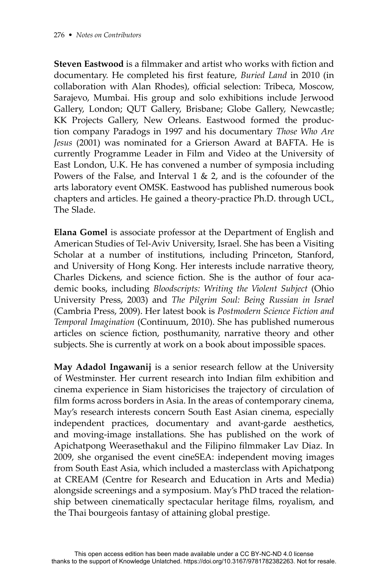**Steven Eastwood** is a filmmaker and artist who works with fiction and documentary. He completed his first feature, *Buried Land* in 2010 (in collaboration with Alan Rhodes), official selection: Tribeca, Moscow, Sarajevo, Mumbai. His group and solo exhibitions include Jerwood Gallery, London; QUT Gallery, Brisbane; Globe Gallery, Newcastle; KK Projects Gallery, New Orleans. Eastwood formed the production company Paradogs in 1997 and his documentary *Those Who Are Jesus* (2001) was nominated for a Grierson Award at BAFTA. He is currently Programme Leader in Film and Video at the University of East London, U.K. He has convened a number of symposia including Powers of the False, and Interval  $1 \& 2$ , and is the cofounder of the arts laboratory event OMSK. Eastwood has published numerous book chapters and articles. He gained a theory-practice Ph.D. through UCL, The Slade.

**Elana Gomel** is associate professor at the Department of English and American Studies of Tel-Aviv University, Israel. She has been a Visiting Scholar at a number of institutions, including Princeton, Stanford, and University of Hong Kong. Her interests include narrative theory, Charles Dickens, and science fiction. She is the author of four academic books, including *Bloodscripts: Writing the Violent Subject* (Ohio University Press, 2003) and *The Pilgrim Soul: Being Russian in Israel* (Cambria Press, 2009). Her latest book is *Postmodern Science Fiction and Temporal Imagination* (Continuum, 2010). She has published numerous articles on science fiction, posthumanity, narrative theory and other subjects. She is currently at work on a book about impossible spaces.

**May Adadol Ingawanij** is a senior research fellow at the University of Westminster. Her current research into Indian film exhibition and cinema experience in Siam historicises the trajectory of circulation of film forms across borders in Asia. In the areas of contemporary cinema, May's research interests concern South East Asian cinema, especially independent practices, documentary and avant-garde aesthetics, and moving-image installations. She has published on the work of Apichatpong Weerasethakul and the Filipino filmmaker Lav Diaz. In 2009, she organised the event cineSEA: independent moving images from South East Asia, which included a masterclass with Apichatpong at CREAM (Centre for Research and Education in Arts and Media) alongside screenings and a symposium. May's PhD traced the relationship between cinematically spectacular heritage films, royalism, and the Thai bourgeois fantasy of attaining global prestige.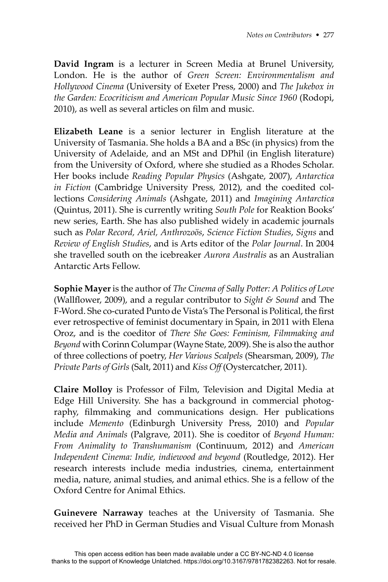**David Ingram** is a lecturer in Screen Media at Brunel University, London. He is the author of *Green Screen: Environmentalism and Hollywood Cinema* (University of Exeter Press, 2000) and *The Jukebox in the Garden: Ecocriticism and American Popular Music Since 1960* (Rodopi, 2010), as well as several articles on film and music.

**Elizabeth Leane** is a senior lecturer in English literature at the University of Tasmania. She holds a BA and a BSc (in physics) from the University of Adelaide, and an MSt and DPhil (in English literature) from the University of Oxford, where she studied as a Rhodes Scholar. Her books include *Reading Popular Physics* (Ashgate, 2007), *Antarctica in Fiction* (Cambridge University Press, 2012), and the coedited collections *Considering Animals* (Ashgate, 2011) and *Imagining Antarctica*  (Quintus, 2011). She is currently writing *South Pole* for Reaktion Books' new series, Earth. She has also published widely in academic journals such as *Polar Record, Ariel, Anthrozoös*, *Science Fiction Studies*, *Signs* and *Review of English Studies*, and is Arts editor of the *Polar Journal*. In 2004 she travelled south on the icebreaker *Aurora Australis* as an Australian Antarctic Arts Fellow.

**Sophie Mayer** is the author of *The Cinema of Sally Potter: A Politics of Love* (Wallflower, 2009), and a regular contributor to *Sight & Sound* and The F-Word. She co-curated Punto de Vista's The Personal is Political, the first ever retrospective of feminist documentary in Spain, in 2011 with Elena Oroz, and is the coeditor of *There She Goes: Feminism, Filmmaking and Beyond* with Corinn Columpar (Wayne State, 2009). She is also the author of three collections of poetry, *Her Various Scalpels* (Shearsman, 2009), *The Private Parts of Girls* (Salt, 2011) and *Kiss Off* (Oystercatcher, 2011).

**Claire Molloy** is Professor of Film, Television and Digital Media at Edge Hill University. She has a background in commercial photography, filmmaking and communications design. Her publications include *Memento* (Edinburgh University Press, 2010) and *Popular Media and Animals* (Palgrave, 2011). She is coeditor of *Beyond Human: From Animality to Transhumanism* (Continuum, 2012) and *American Independent Cinema: Indie, indiewood and beyond* (Routledge, 2012). Her research interests include media industries, cinema, entertainment media, nature, animal studies, and animal ethics. She is a fellow of the Oxford Centre for Animal Ethics.

**Guinevere Narraway** teaches at the University of Tasmania. She received her PhD in German Studies and Visual Culture from Monash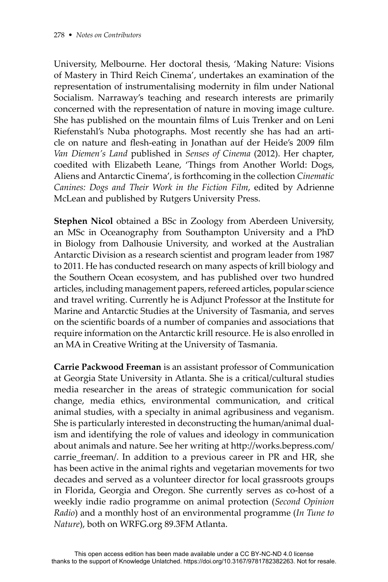University, Melbourne. Her doctoral thesis, 'Making Nature: Visions of Mastery in Third Reich Cinema', undertakes an examination of the representation of instrumentalising modernity in film under National Socialism. Narraway's teaching and research interests are primarily concerned with the representation of nature in moving image culture. She has published on the mountain films of Luis Trenker and on Leni Riefenstahl's Nuba photographs. Most recently she has had an article on nature and flesh-eating in Jonathan auf der Heide's 2009 film *Van Diemen's Land* published in *Senses of Cinema* (2012). Her chapter, coedited with Elizabeth Leane, 'Things from Another World: Dogs, Aliens and Antarctic Cinema', is forthcoming in the collection *Cinematic Canines: Dogs and Their Work in the Fiction Film*, edited by Adrienne McLean and published by Rutgers University Press.

**Stephen Nicol** obtained a BSc in Zoology from Aberdeen University, an MSc in Oceanography from Southampton University and a PhD in Biology from Dalhousie University, and worked at the Australian Antarctic Division as a research scientist and program leader from 1987 to 2011. He has conducted research on many aspects of krill biology and the Southern Ocean ecosystem, and has published over two hundred articles, including management papers, refereed articles, popular science and travel writing. Currently he is Adjunct Professor at the Institute for Marine and Antarctic Studies at the University of Tasmania, and serves on the scientific boards of a number of companies and associations that require information on the Antarctic krill resource. He is also enrolled in an MA in Creative Writing at the University of Tasmania.

**Carrie Packwood Freeman** is an assistant professor of Communication at Georgia State University in Atlanta. She is a critical/cultural studies media researcher in the areas of strategic communication for social change, media ethics, environmental communication, and critical animal studies, with a specialty in animal agribusiness and veganism. She is particularly interested in deconstructing the human/animal dualism and identifying the role of values and ideology in communication about animals and nature. See her writing at http://works.bepress.com/ carrie\_freeman/. In addition to a previous career in PR and HR, she has been active in the animal rights and vegetarian movements for two decades and served as a volunteer director for local grassroots groups in Florida, Georgia and Oregon. She currently serves as co-host of a weekly indie radio programme on animal protection (*Second Opinion Radio*) and a monthly host of an environmental programme (*In Tune to Nature*), both on WRFG.org 89.3FM Atlanta.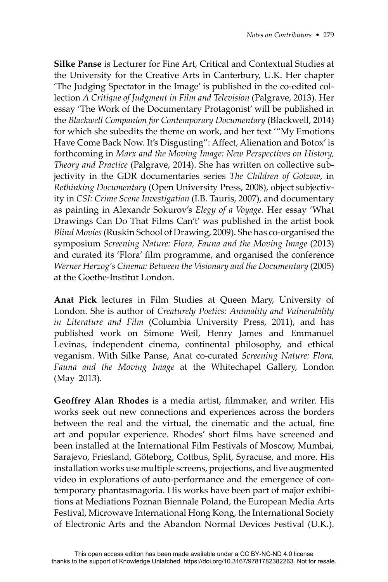**Silke Panse** is Lecturer for Fine Art, Critical and Contextual Studies at the University for the Creative Arts in Canterbury, U.K. Her chapter 'The Judging Spectator in the Image' is published in the co-edited collection *A Critique of Judgment in Film and Television* (Palgrave, 2013). Her essay 'The Work of the Documentary Protagonist' will be published in the *Blackwell Companion for Contemporary Documentary* (Blackwell, 2014) for which she subedits the theme on work, and her text '"My Emotions Have Come Back Now. It's Disgusting": Affect, Alienation and Botox' is forthcoming in *Marx and the Moving Image: New Perspectives on History, Theory and Practice* (Palgrave, 2014). She has written on collective subjectivity in the GDR documentaries series *The Children of Golzow*, in *Rethinking Documentary* (Open University Press, 2008), object subjectivity in *CSI: Crime Scene Investigation* (I.B. Tauris, 2007), and documentary as painting in Alexandr Sokurov's *Elegy of a Voyage*. Her essay 'What Drawings Can Do That Films Can't' was published in the artist book *Blind Movies* (Ruskin School of Drawing, 2009). She has co-organised the symposium *Screening Nature: Flora, Fauna and the Moving Image* (2013) and curated its 'Flora' film programme, and organised the conference *Werner Herzog's Cinema: Between the Visionary and the Documentary* (2005) at the Goethe-Institut London.

**Anat Pick** lectures in Film Studies at Queen Mary, University of London. She is author of *Creaturely Poetics: Animality and Vulnerability in Literature and Film* (Columbia University Press, 2011), and has published work on Simone Weil, Henry James and Emmanuel Levinas, independent cinema, continental philosophy, and ethical veganism. With Silke Panse, Anat co-curated *Screening Nature: Flora, Fauna and the Moving Image* at the Whitechapel Gallery, London (May 2013).

**Geoffrey Alan Rhodes** is a media artist, filmmaker, and writer. His works seek out new connections and experiences across the borders between the real and the virtual, the cinematic and the actual, fine art and popular experience. Rhodes' short films have screened and been installed at the International Film Festivals of Moscow, Mumbai, Sarajevo, Friesland, Göteborg, Cottbus, Split, Syracuse, and more. His installation works use multiple screens, projections, and live augmented video in explorations of auto-performance and the emergence of contemporary phantasmagoria. His works have been part of major exhibitions at Mediations Poznan Biennale Poland, the European Media Arts Festival, Microwave International Hong Kong, the International Society of Electronic Arts and the Abandon Normal Devices Festival (U.K.).